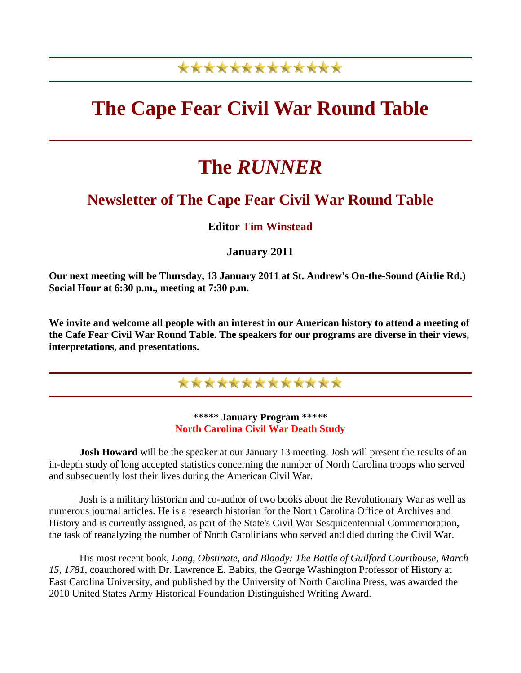# \*\*\*\*\*\*\*\*\*\*\*\*\*

# **The Cape Fear Civil War Round Table**

# **The** *RUNNER*

## **Newsletter of The Cape Fear Civil War Round Table**

## **Editor Tim Winstead**

### **January 2011**

**Our next meeting will be Thursday, 13 January 2011 at St. Andrew's On-the-Sound (Airlie Rd.) Social Hour at 6:30 p.m., meeting at 7:30 p.m.**

**We invite and welcome all people with an interest in our American history to attend a meeting of the Cafe Fear Civil War Round Table. The speakers for our programs are diverse in their views, interpretations, and presentations.** 

\*\*\*\*\*\*\*\*\*\*\*\*\*

#### **\*\*\*\*\* January Program \*\*\*\*\* North Carolina Civil War Death Study**

**Josh Howard** will be the speaker at our January 13 meeting. Josh will present the results of an in-depth study of long accepted statistics concerning the number of North Carolina troops who served and subsequently lost their lives during the American Civil War.

 Josh is a military historian and co-author of two books about the Revolutionary War as well as numerous journal articles. He is a research historian for the North Carolina Office of Archives and History and is currently assigned, as part of the State's Civil War Sesquicentennial Commemoration, the task of reanalyzing the number of North Carolinians who served and died during the Civil War.

 His most recent book, *Long, Obstinate, and Bloody: The Battle of Guilford Courthouse, March 15, 1781,* coauthored with Dr. Lawrence E. Babits, the George Washington Professor of History at East Carolina University, and published by the University of North Carolina Press, was awarded the 2010 United States Army Historical Foundation Distinguished Writing Award.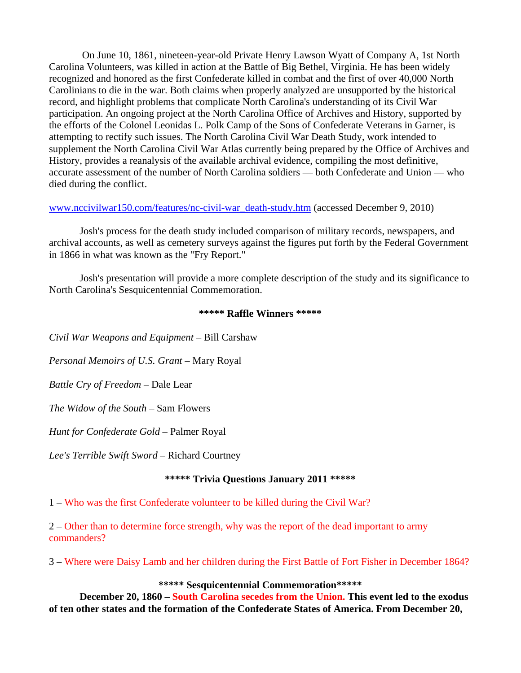On June 10, 1861, nineteen-year-old Private Henry Lawson Wyatt of Company A, 1st North Carolina Volunteers, was killed in action at the Battle of Big Bethel, Virginia. He has been widely recognized and honored as the first Confederate killed in combat and the first of over 40,000 North Carolinians to die in the war. Both claims when properly analyzed are unsupported by the historical record, and highlight problems that complicate North Carolina's understanding of its Civil War participation. An ongoing project at the North Carolina Office of Archives and History, supported by the efforts of the Colonel Leonidas L. Polk Camp of the Sons of Confederate Veterans in Garner, is attempting to rectify such issues. The North Carolina Civil War Death Study, work intended to supplement the North Carolina Civil War Atlas currently being prepared by the Office of Archives and History, provides a reanalysis of the available archival evidence, compiling the most definitive, accurate assessment of the number of North Carolina soldiers — both Confederate and Union — who died during the conflict.

[www.nccivilwar150.com/features/nc-civil-war\\_death-study.htm](http://www.nccivilwar150.com/features/nc-civil-war_death-study.htm) (accessed December 9, 2010)

 Josh's process for the death study included comparison of military records, newspapers, and archival accounts, as well as cemetery surveys against the figures put forth by the Federal Government in 1866 in what was known as the "Fry Report."

 Josh's presentation will provide a more complete description of the study and its significance to North Carolina's Sesquicentennial Commemoration.

#### **\*\*\*\*\* Raffle Winners \*\*\*\*\***

*Civil War Weapons and Equipment* – Bill Carshaw

*Personal Memoirs of U.S. Grant* – Mary Royal

*Battle Cry of Freedom* – Dale Lear

*The Widow of the South* – Sam Flowers

*Hunt for Confederate Gold* – Palmer Royal

*Lee's Terrible Swift Sword* – Richard Courtney

#### **\*\*\*\*\* Trivia Questions January 2011 \*\*\*\*\***

1 – Who was the first Confederate volunteer to be killed during the Civil War?

2 – Other than to determine force strength, why was the report of the dead important to army commanders?

3 – Where were Daisy Lamb and her children during the First Battle of Fort Fisher in December 1864?

#### **\*\*\*\*\* Sesquicentennial Commemoration\*\*\*\*\***

 **December 20, 1860 – South Carolina secedes from the Union. This event led to the exodus of ten other states and the formation of the Confederate States of America. From December 20,**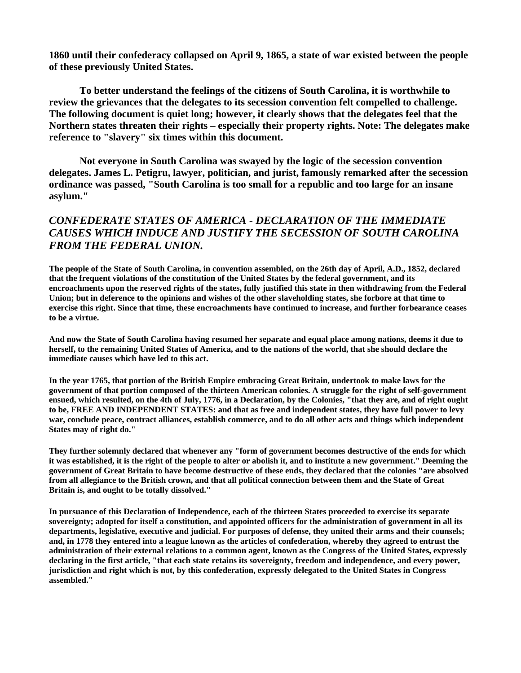**1860 until their confederacy collapsed on April 9, 1865, a state of war existed between the people of these previously United States.** 

 **To better understand the feelings of the citizens of South Carolina, it is worthwhile to review the grievances that the delegates to its secession convention felt compelled to challenge. The following document is quiet long; however, it clearly shows that the delegates feel that the Northern states threaten their rights – especially their property rights. Note: The delegates make reference to "slavery" six times within this document.** 

 **Not everyone in South Carolina was swayed by the logic of the secession convention delegates. James L. Petigru, lawyer, politician, and jurist, famously remarked after the secession ordinance was passed, "South Carolina is too small for a republic and too large for an insane asylum."** 

### *CONFEDERATE STATES OF AMERICA - DECLARATION OF THE IMMEDIATE CAUSES WHICH INDUCE AND JUSTIFY THE SECESSION OF SOUTH CAROLINA FROM THE FEDERAL UNION.*

**The people of the State of South Carolina, in convention assembled, on the 26th day of April, A.D., 1852, declared that the frequent violations of the constitution of the United States by the federal government, and its encroachments upon the reserved rights of the states, fully justified this state in then withdrawing from the Federal Union; but in deference to the opinions and wishes of the other slaveholding states, she forbore at that time to exercise this right. Since that time, these encroachments have continued to increase, and further forbearance ceases to be a virtue.** 

**And now the State of South Carolina having resumed her separate and equal place among nations, deems it due to herself, to the remaining United States of America, and to the nations of the world, that she should declare the immediate causes which have led to this act.** 

**In the year 1765, that portion of the British Empire embracing Great Britain, undertook to make laws for the government of that portion composed of the thirteen American colonies. A struggle for the right of self-government ensued, which resulted, on the 4th of July, 1776, in a Declaration, by the Colonies, "that they are, and of right ought to be, FREE AND INDEPENDENT STATES: and that as free and independent states, they have full power to levy war, conclude peace, contract alliances, establish commerce, and to do all other acts and things which independent States may of right do."** 

**They further solemnly declared that whenever any "form of government becomes destructive of the ends for which it was established, it is the right of the people to alter or abolish it, and to institute a new government." Deeming the government of Great Britain to have become destructive of these ends, they declared that the colonies "are absolved from all allegiance to the British crown, and that all political connection between them and the State of Great Britain is, and ought to be totally dissolved."** 

**In pursuance of this Declaration of Independence, each of the thirteen States proceeded to exercise its separate sovereignty; adopted for itself a constitution, and appointed officers for the administration of government in all its departments, legislative, executive and judicial. For purposes of defense, they united their arms and their counsels; and, in 1778 they entered into a league known as the articles of confederation, whereby they agreed to entrust the administration of their external relations to a common agent, known as the Congress of the United States, expressly declaring in the first article, "that each state retains its sovereignty, freedom and independence, and every power, jurisdiction and right which is not, by this confederation, expressly delegated to the United States in Congress assembled."**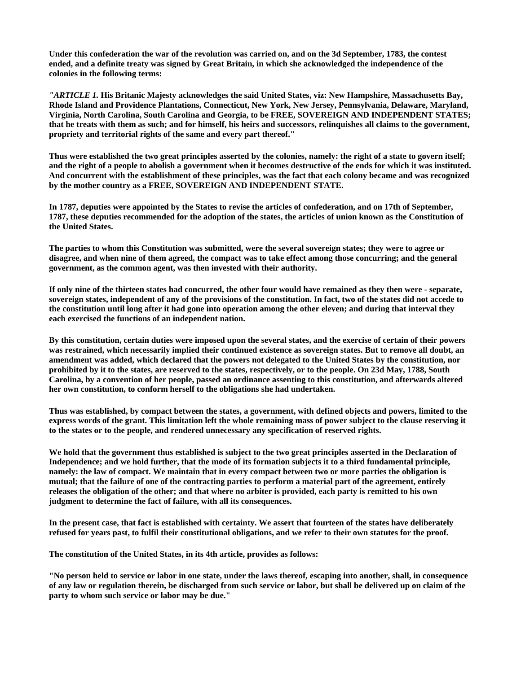**Under this confederation the war of the revolution was carried on, and on the 3d September, 1783, the contest ended, and a definite treaty was signed by Great Britain, in which she acknowledged the independence of the colonies in the following terms:** 

*"ARTICLE 1.* **His Britanic Majesty acknowledges the said United States, viz: New Hampshire, Massachusetts Bay, Rhode Island and Providence Plantations, Connecticut, New York, New Jersey, Pennsylvania, Delaware, Maryland, Virginia, North Carolina, South Carolina and Georgia, to be FREE, SOVEREIGN AND INDEPENDENT STATES; that he treats with them as such; and for himself, his heirs and successors, relinquishes all claims to the government, propriety and territorial rights of the same and every part thereof."** 

**Thus were established the two great principles asserted by the colonies, namely: the right of a state to govern itself; and the right of a people to abolish a government when it becomes destructive of the ends for which it was instituted. And concurrent with the establishment of these principles, was the fact that each colony became and was recognized by the mother country as a FREE, SOVEREIGN AND INDEPENDENT STATE.** 

**In 1787, deputies were appointed by the States to revise the articles of confederation, and on 17th of September, 1787, these deputies recommended for the adoption of the states, the articles of union known as the Constitution of the United States.** 

**The parties to whom this Constitution was submitted, were the several sovereign states; they were to agree or disagree, and when nine of them agreed, the compact was to take effect among those concurring; and the general government, as the common agent, was then invested with their authority.** 

**If only nine of the thirteen states had concurred, the other four would have remained as they then were - separate, sovereign states, independent of any of the provisions of the constitution. In fact, two of the states did not accede to the constitution until long after it had gone into operation among the other eleven; and during that interval they each exercised the functions of an independent nation.** 

**By this constitution, certain duties were imposed upon the several states, and the exercise of certain of their powers was restrained, which necessarily implied their continued existence as sovereign states. But to remove all doubt, an amendment was added, which declared that the powers not delegated to the United States by the constitution, nor prohibited by it to the states, are reserved to the states, respectively, or to the people. On 23d May, 1788, South Carolina, by a convention of her people, passed an ordinance assenting to this constitution, and afterwards altered her own constitution, to conform herself to the obligations she had undertaken.** 

**Thus was established, by compact between the states, a government, with defined objects and powers, limited to the express words of the grant. This limitation left the whole remaining mass of power subject to the clause reserving it to the states or to the people, and rendered unnecessary any specification of reserved rights.** 

**We hold that the government thus established is subject to the two great principles asserted in the Declaration of Independence; and we hold further, that the mode of its formation subjects it to a third fundamental principle, namely: the law of compact. We maintain that in every compact between two or more parties the obligation is mutual; that the failure of one of the contracting parties to perform a material part of the agreement, entirely releases the obligation of the other; and that where no arbiter is provided, each party is remitted to his own judgment to determine the fact of failure, with all its consequences.** 

**In the present case, that fact is established with certainty. We assert that fourteen of the states have deliberately refused for years past, to fulfil their constitutional obligations, and we refer to their own statutes for the proof.** 

**The constitution of the United States, in its 4th article, provides as follows:** 

**"No person held to service or labor in one state, under the laws thereof, escaping into another, shall, in consequence of any law or regulation therein, be discharged from such service or labor, but shall be delivered up on claim of the party to whom such service or labor may be due."**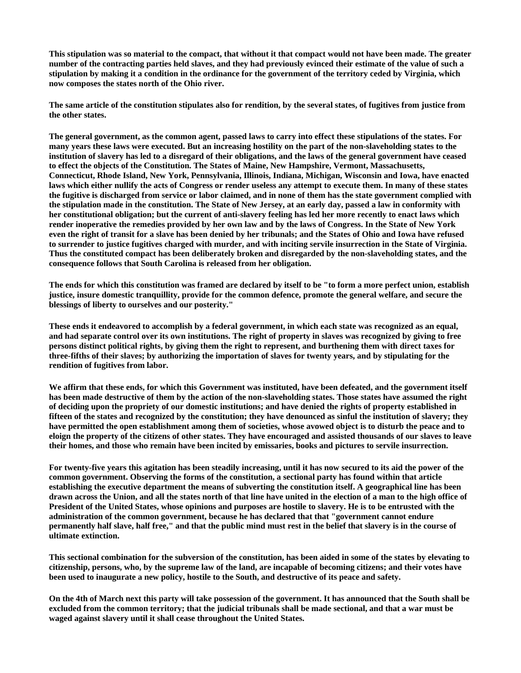**This stipulation was so material to the compact, that without it that compact would not have been made. The greater number of the contracting parties held slaves, and they had previously evinced their estimate of the value of such a stipulation by making it a condition in the ordinance for the government of the territory ceded by Virginia, which now composes the states north of the Ohio river.** 

**The same article of the constitution stipulates also for rendition, by the several states, of fugitives from justice from the other states.** 

**The general government, as the common agent, passed laws to carry into effect these stipulations of the states. For many years these laws were executed. But an increasing hostility on the part of the non-slaveholding states to the institution of slavery has led to a disregard of their obligations, and the laws of the general government have ceased to effect the objects of the Constitution. The States of Maine, New Hampshire, Vermont, Massachusetts, Connecticut, Rhode Island, New York, Pennsylvania, Illinois, Indiana, Michigan, Wisconsin and Iowa, have enacted laws which either nullify the acts of Congress or render useless any attempt to execute them. In many of these states the fugitive is discharged from service or labor claimed, and in none of them has the state government complied with the stipulation made in the constitution. The State of New Jersey, at an early day, passed a law in conformity with her constitutional obligation; but the current of anti-slavery feeling has led her more recently to enact laws which render inoperative the remedies provided by her own law and by the laws of Congress. In the State of New York even the right of transit for a slave has been denied by her tribunals; and the States of Ohio and Iowa have refused to surrender to justice fugitives charged with murder, and with inciting servile insurrection in the State of Virginia. Thus the constituted compact has been deliberately broken and disregarded by the non-slaveholding states, and the consequence follows that South Carolina is released from her obligation.** 

**The ends for which this constitution was framed are declared by itself to be "to form a more perfect union, establish justice, insure domestic tranquillity, provide for the common defence, promote the general welfare, and secure the blessings of liberty to ourselves and our posterity."** 

**These ends it endeavored to accomplish by a federal government, in which each state was recognized as an equal, and had separate control over its own institutions. The right of property in slaves was recognized by giving to free persons distinct political rights, by giving them the right to represent, and burthening them with direct taxes for three-fifths of their slaves; by authorizing the importation of slaves for twenty years, and by stipulating for the rendition of fugitives from labor.** 

**We affirm that these ends, for which this Government was instituted, have been defeated, and the government itself has been made destructive of them by the action of the non-slaveholding states. Those states have assumed the right of deciding upon the propriety of our domestic institutions; and have denied the rights of property established in fifteen of the states and recognized by the constitution; they have denounced as sinful the institution of slavery; they have permitted the open establishment among them of societies, whose avowed object is to disturb the peace and to eloign the property of the citizens of other states. They have encouraged and assisted thousands of our slaves to leave their homes, and those who remain have been incited by emissaries, books and pictures to servile insurrection.** 

**For twenty-five years this agitation has been steadily increasing, until it has now secured to its aid the power of the common government. Observing the forms of the constitution, a sectional party has found within that article establishing the executive department the means of subverting the constitution itself. A geographical line has been drawn across the Union, and all the states north of that line have united in the election of a man to the high office of President of the United States, whose opinions and purposes are hostile to slavery. He is to be entrusted with the administration of the common government, because he has declared that that "government cannot endure permanently half slave, half free," and that the public mind must rest in the belief that slavery is in the course of ultimate extinction.** 

**This sectional combination for the subversion of the constitution, has been aided in some of the states by elevating to citizenship, persons, who, by the supreme law of the land, are incapable of becoming citizens; and their votes have been used to inaugurate a new policy, hostile to the South, and destructive of its peace and safety.** 

**On the 4th of March next this party will take possession of the government. It has announced that the South shall be excluded from the common territory; that the judicial tribunals shall be made sectional, and that a war must be waged against slavery until it shall cease throughout the United States.**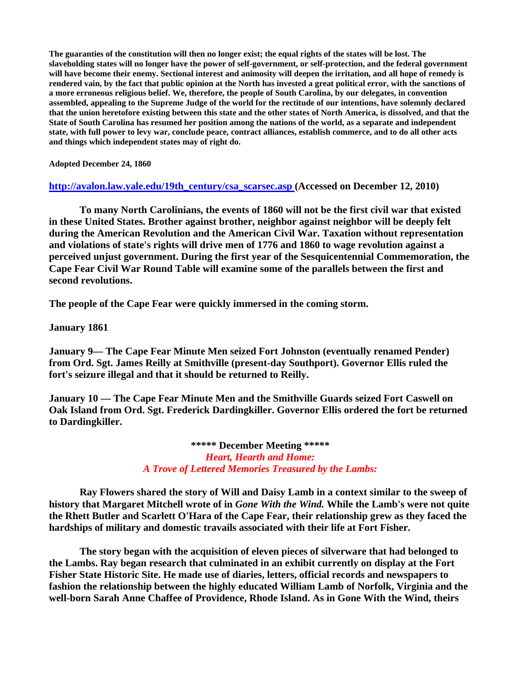**The guaranties of the constitution will then no longer exist; the equal rights of the states will be lost. The slaveholding states will no longer have the power of self-government, or self-protection, and the federal government will have become their enemy. Sectional interest and animosity will deepen the irritation, and all hope of remedy is rendered vain, by the fact that public opinion at the North has invested a great political error, with the sanctions of a more erroneous religious belief. We, therefore, the people of South Carolina, by our delegates, in convention assembled, appealing to the Supreme Judge of the world for the rectitude of our intentions, have solemnly declared that the union heretofore existing between this state and the other states of North America, is dissolved, and that the State of South Carolina has resumed her position among the nations of the world, as a separate and independent state, with full power to levy war, conclude peace, contract alliances, establish commerce, and to do all other acts and things which independent states may of right do.** 

**Adopted December 24, 1860** 

**[http://avalon.law.yale.edu/19th\\_century/csa\\_scarsec.asp \(](http://avalon.law.yale.edu/19th_century/csa_scarsec.asp)Accessed on December 12, 2010)** 

 **To many North Carolinians, the events of 1860 will not be the first civil war that existed in these United States. Brother against brother, neighbor against neighbor will be deeply felt during the American Revolution and the American Civil War. Taxation without representation and violations of state's rights will drive men of 1776 and 1860 to wage revolution against a perceived unjust government. During the first year of the Sesquicentennial Commemoration, the Cape Fear Civil War Round Table will examine some of the parallels between the first and second revolutions.** 

**The people of the Cape Fear were quickly immersed in the coming storm.** 

**January 1861** 

**January 9— The Cape Fear Minute Men seized Fort Johnston (eventually renamed Pender) from Ord. Sgt. James Reilly at Smithville (present-day Southport). Governor Ellis ruled the fort's seizure illegal and that it should be returned to Reilly.** 

**January 10 — The Cape Fear Minute Men and the Smithville Guards seized Fort Caswell on Oak Island from Ord. Sgt. Frederick Dardingkiller. Governor Ellis ordered the fort be returned to Dardingkiller.** 

> **\*\*\*\*\* December Meeting \*\*\*\*\***  *Heart, Hearth and Home: A Trove of Lettered Memories Treasured by the Lambs:*

 **Ray Flowers shared the story of Will and Daisy Lamb in a context similar to the sweep of history that Margaret Mitchell wrote of in** *Gone With the Wind.* **While the Lamb's were not quite the Rhett Butler and Scarlett O'Hara of the Cape Fear, their relationship grew as they faced the hardships of military and domestic travails associated with their life at Fort Fisher.** 

 **The story began with the acquisition of eleven pieces of silverware that had belonged to the Lambs. Ray began research that culminated in an exhibit currently on display at the Fort Fisher State Historic Site. He made use of diaries, letters, official records and newspapers to fashion the relationship between the highly educated William Lamb of Norfolk, Virginia and the well-born Sarah Anne Chaffee of Providence, Rhode Island. As in Gone With the Wind, theirs**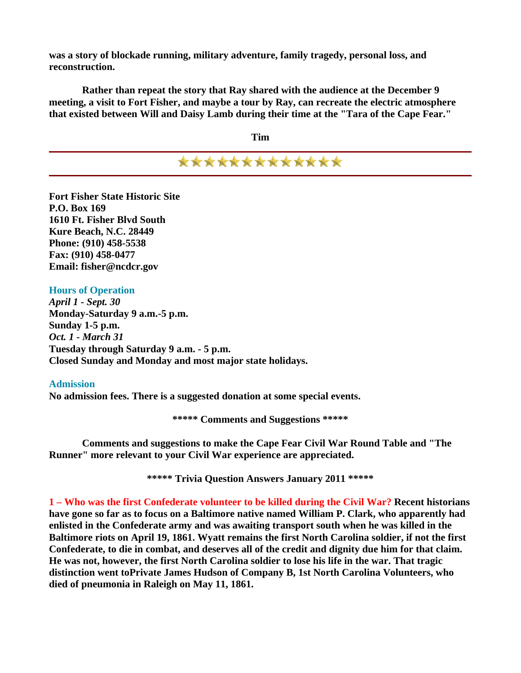**was a story of blockade running, military adventure, family tragedy, personal loss, and reconstruction.** 

 **Rather than repeat the story that Ray shared with the audience at the December 9 meeting, a visit to Fort Fisher, and maybe a tour by Ray, can recreate the electric atmosphere that existed between Will and Daisy Lamb during their time at the "Tara of the Cape Fear."** 

**Tim** 

\*\*\*\*\*\*\*\*\*\*\*\*\*

**Fort Fisher State Historic Site P.O. Box 169 1610 Ft. Fisher Blvd South Kure Beach, N.C. 28449 Phone: (910) 458-5538 Fax: (910) 458-0477 Email: fisher@ncdcr.gov** 

**Hours of Operation** *April 1 - Sept. 30*  **Monday-Saturday 9 a.m.-5 p.m. Sunday 1-5 p.m.**  *Oct. 1 - March 31* **Tuesday through Saturday 9 a.m. - 5 p.m. Closed Sunday and Monday and most major state holidays.** 

#### **Admission**

**No admission fees. There is a suggested donation at some special events.** 

**\*\*\*\*\* Comments and Suggestions \*\*\*\*\*** 

 **Comments and suggestions to make the Cape Fear Civil War Round Table and "The Runner" more relevant to your Civil War experience are appreciated.** 

**\*\*\*\*\* Trivia Question Answers January 2011 \*\*\*\*\*** 

**1 – Who was the first Confederate volunteer to be killed during the Civil War? Recent historians have gone so far as to focus on a Baltimore native named William P. Clark, who apparently had enlisted in the Confederate army and was awaiting transport south when he was killed in the Baltimore riots on April 19, 1861. Wyatt remains the first North Carolina soldier, if not the first Confederate, to die in combat, and deserves all of the credit and dignity due him for that claim. He was not, however, the first North Carolina soldier to lose his life in the war. That tragic distinction went toPrivate James Hudson of Company B, 1st North Carolina Volunteers, who died of pneumonia in Raleigh on May 11, 1861.**